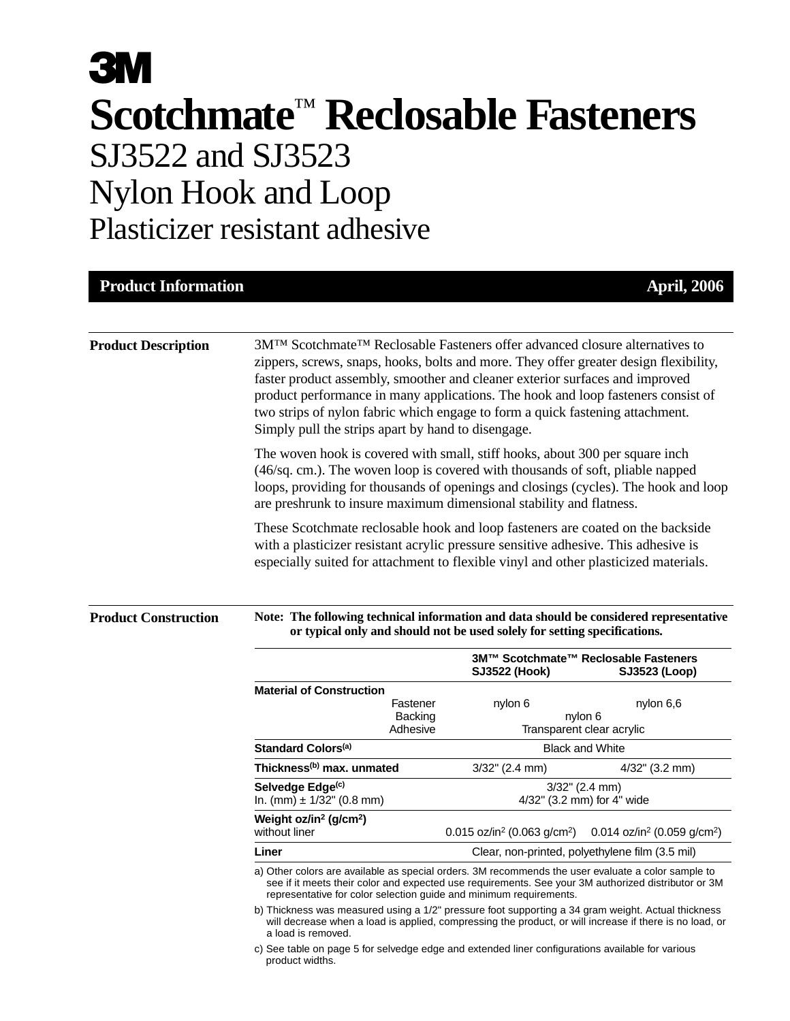# **3M Scotchmate**™ **Reclosable Fasteners** SJ3522 and SJ3523 Nylon Hook and Loop Plasticizer resistant adhesive

| <b>Product Information</b> |                                                                                                                                                                                                                                                                                                                                                                                                                                                                                                                                                                                                                                                                                                                                                                                                                                           |                                                                                        | <b>April, 2006</b>                                                        |  |
|----------------------------|-------------------------------------------------------------------------------------------------------------------------------------------------------------------------------------------------------------------------------------------------------------------------------------------------------------------------------------------------------------------------------------------------------------------------------------------------------------------------------------------------------------------------------------------------------------------------------------------------------------------------------------------------------------------------------------------------------------------------------------------------------------------------------------------------------------------------------------------|----------------------------------------------------------------------------------------|---------------------------------------------------------------------------|--|
| <b>Product Description</b> | 3M <sup>TM</sup> Scotchmate <sup>TM</sup> Reclosable Fasteners offer advanced closure alternatives to<br>zippers, screws, snaps, hooks, bolts and more. They offer greater design flexibility,<br>faster product assembly, smoother and cleaner exterior surfaces and improved<br>product performance in many applications. The hook and loop fasteners consist of<br>two strips of nylon fabric which engage to form a quick fastening attachment.<br>Simply pull the strips apart by hand to disengage.<br>The woven hook is covered with small, stiff hooks, about 300 per square inch<br>(46/sq. cm.). The woven loop is covered with thousands of soft, pliable napped<br>loops, providing for thousands of openings and closings (cycles). The hook and loop<br>are preshrunk to insure maximum dimensional stability and flatness. |                                                                                        |                                                                           |  |
|                            |                                                                                                                                                                                                                                                                                                                                                                                                                                                                                                                                                                                                                                                                                                                                                                                                                                           |                                                                                        |                                                                           |  |
|                            | <b>Product Construction</b>                                                                                                                                                                                                                                                                                                                                                                                                                                                                                                                                                                                                                                                                                                                                                                                                               | Note: The following technical information and data should be considered representative | or typical only and should not be used solely for setting specifications. |  |
|                            |                                                                                                                                                                                                                                                                                                                                                                                                                                                                                                                                                                                                                                                                                                                                                                                                                                           | <b>SJ3522 (Hook)</b>                                                                   | 3M™ Scotchmate™ Reclosable Fasteners<br>SJ3523 (Loop)                     |  |
|                            | <b>Material of Construction</b><br>Fastener<br><b>Backing</b><br>Adhesive                                                                                                                                                                                                                                                                                                                                                                                                                                                                                                                                                                                                                                                                                                                                                                 | nylon 6                                                                                | nylon 6,6<br>nylon 6<br>Transparent clear acrylic                         |  |
|                            | Standard Colors <sup>(a)</sup>                                                                                                                                                                                                                                                                                                                                                                                                                                                                                                                                                                                                                                                                                                                                                                                                            | <b>Black and White</b>                                                                 |                                                                           |  |
|                            | Thickness <sup>(b)</sup> max. unmated                                                                                                                                                                                                                                                                                                                                                                                                                                                                                                                                                                                                                                                                                                                                                                                                     | $3/32$ " (2.4 mm)                                                                      | 4/32" (3.2 mm)                                                            |  |
|                            | Selvedge Edge(c)<br>In. $(mm) \pm 1/32$ " (0.8 mm)                                                                                                                                                                                                                                                                                                                                                                                                                                                                                                                                                                                                                                                                                                                                                                                        | $3/32$ " (2.4 mm)<br>4/32" (3.2 mm) for 4" wide                                        |                                                                           |  |
|                            | Weight $oz/in^2$ (g/cm <sup>2</sup> )<br>without liner                                                                                                                                                                                                                                                                                                                                                                                                                                                                                                                                                                                                                                                                                                                                                                                    | 0.015 oz/in <sup>2</sup> (0.063 g/cm <sup>2</sup> )                                    | 0.014 oz/in <sup>2</sup> (0.059 g/cm <sup>2</sup> )                       |  |
|                            | Liner                                                                                                                                                                                                                                                                                                                                                                                                                                                                                                                                                                                                                                                                                                                                                                                                                                     |                                                                                        | Clear, non-printed, polyethylene film (3.5 mil)                           |  |
|                            | a) Other colors are available as special orders. 3M recommends the user evaluate a color sample to<br>see if it meets their color and expected use requirements. See your 3M authorized distributor or 3M<br>representative for color selection guide and minimum requirements.                                                                                                                                                                                                                                                                                                                                                                                                                                                                                                                                                           |                                                                                        |                                                                           |  |
|                            | b) Thickness was measured using a 1/2" pressure foot supporting a 34 gram weight. Actual thickness<br>will decrease when a load is applied, compressing the product, or will increase if there is no load, or<br>a load is removed.                                                                                                                                                                                                                                                                                                                                                                                                                                                                                                                                                                                                       |                                                                                        |                                                                           |  |

c) See table on page 5 for selvedge edge and extended liner configurations available for various product widths.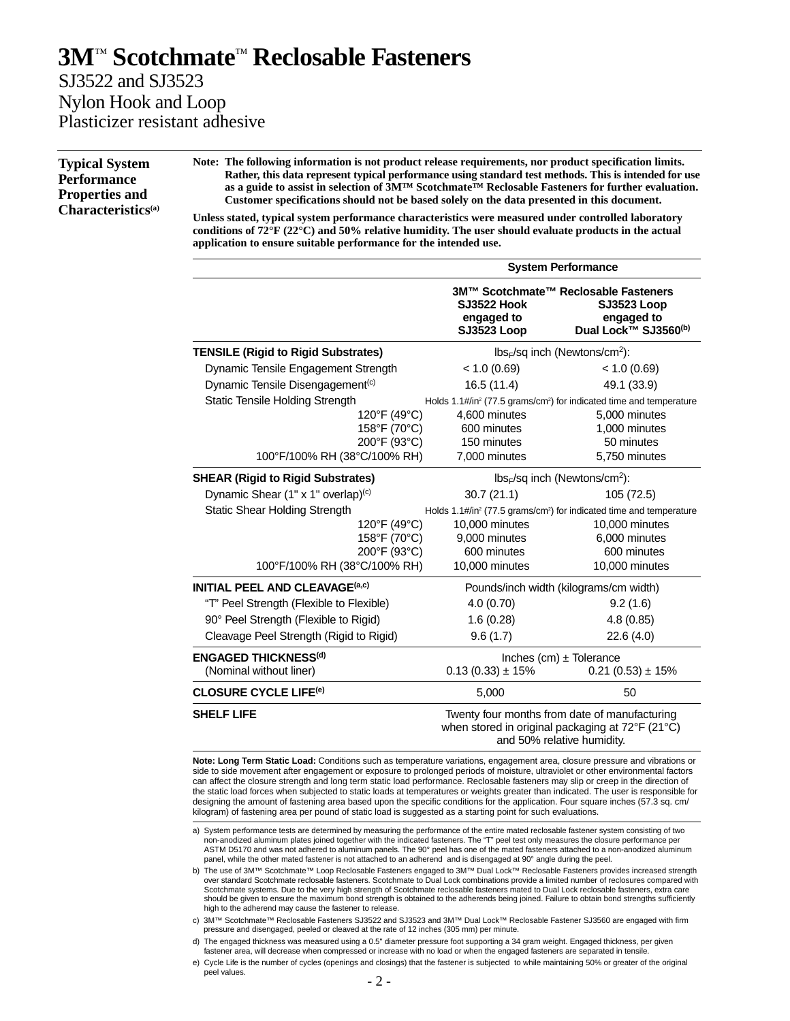### **3M**™ **Scotchmate**™ **Reclosable Fasteners** SJ3522 and SJ3523 Nylon Hook and Loop

Plasticizer resistant adhesive

**Typical System Performance Properties and Characteristics(a)** **Note: The following information is not product release requirements, nor product specification limits. Rather, this data represent typical performance using standard test methods. This is intended for use as a guide to assist in selection of 3M™ Scotchmate™ Reclosable Fasteners for further evaluation. Customer specifications should not be based solely on the data presented in this document.**

**Unless stated, typical system performance characteristics were measured under controlled laboratory conditions of 72°F (22°C) and 50% relative humidity. The user should evaluate products in the actual application to ensure suitable performance for the intended use.**

|                                                | <b>System Performance</b>                    |                                                                                                                                 |  |
|------------------------------------------------|----------------------------------------------|---------------------------------------------------------------------------------------------------------------------------------|--|
|                                                | SJ3522 Hook<br>engaged to<br>SJ3523 Loop     | 3M™ Scotchmate™ Reclosable Fasteners<br><b>SJ3523 Loop</b><br>engaged to<br>Dual Lock™ SJ3560 <sup>(b)</sup>                    |  |
| <b>TENSILE (Rigid to Rigid Substrates)</b>     |                                              | $lbs_F$ /sq inch (Newtons/cm <sup>2</sup> ):                                                                                    |  |
| Dynamic Tensile Engagement Strength            | < 1.0 (0.69)                                 | < 1.0 (0.69)                                                                                                                    |  |
| Dynamic Tensile Disengagement <sup>(c)</sup>   | 16.5(11.4)                                   | 49.1 (33.9)                                                                                                                     |  |
| Static Tensile Holding Strength                |                                              | Holds 1.1#/in <sup>2</sup> (77.5 grams/cm <sup>2</sup> ) for indicated time and temperature                                     |  |
| 120°F (49°C)                                   | 4,600 minutes                                | 5,000 minutes                                                                                                                   |  |
| 158°F (70°C)                                   | 600 minutes                                  | 1,000 minutes                                                                                                                   |  |
| 200°F (93°C)                                   | 150 minutes                                  | 50 minutes                                                                                                                      |  |
| 100°F/100% RH (38°C/100% RH)                   | 7,000 minutes                                | 5,750 minutes                                                                                                                   |  |
| <b>SHEAR (Rigid to Rigid Substrates)</b>       | $lbs_F$ /sq inch (Newtons/cm <sup>2</sup> ): |                                                                                                                                 |  |
| Dynamic Shear (1" x 1" overlap) <sup>(c)</sup> | 30.7(21.1)                                   | 105 (72.5)                                                                                                                      |  |
| <b>Static Shear Holding Strength</b>           |                                              | Holds 1.1#/in <sup>2</sup> (77.5 grams/cm <sup>2</sup> ) for indicated time and temperature                                     |  |
| 120°F (49°C)                                   | 10,000 minutes                               | 10,000 minutes                                                                                                                  |  |
| 158°F (70°C)                                   | 9,000 minutes                                | 6,000 minutes                                                                                                                   |  |
| 200°F (93°C)                                   | 600 minutes                                  | 600 minutes                                                                                                                     |  |
| 100°F/100% RH (38°C/100% RH)                   | 10,000 minutes                               | 10,000 minutes                                                                                                                  |  |
| <b>INITIAL PEEL AND CLEAVAGE(a,c)</b>          | Pounds/inch width (kilograms/cm width)       |                                                                                                                                 |  |
| "T" Peel Strength (Flexible to Flexible)       | 4.0(0.70)                                    | 9.2(1.6)                                                                                                                        |  |
| 90° Peel Strength (Flexible to Rigid)          | 1.6(0.28)                                    | 4.8(0.85)                                                                                                                       |  |
| Cleavage Peel Strength (Rigid to Rigid)        | 9.6(1.7)                                     | 22.6 (4.0)                                                                                                                      |  |
| <b>ENGAGED THICKNESS(d)</b>                    |                                              | Inches $(cm) \pm$ Tolerance                                                                                                     |  |
| (Nominal without liner)                        | $0.13(0.33) \pm 15%$                         | $0.21(0.53) \pm 15%$                                                                                                            |  |
| <b>CLOSURE CYCLE LIFE<sup>(e)</sup></b>        | 5,000                                        | 50                                                                                                                              |  |
| <b>SHELF LIFE</b>                              |                                              | Twenty four months from date of manufacturing<br>when stored in original packaging at 72°F (21°C)<br>and 50% relative humidity. |  |

**Note: Long Term Static Load:** Conditions such as temperature variations, engagement area, closure pressure and vibrations or side to side movement after engagement or exposure to prolonged periods of moisture, ultraviolet or other environmental factors can affect the closure strength and long term static load performance. Reclosable fasteners may slip or creep in the direction of the static load forces when subjected to static loads at temperatures or weights greater than indicated. The user is responsible for designing the amount of fastening area based upon the specific conditions for the application. Four square inches (57.3 sq. cm/ kilogram) of fastening area per pound of static load is suggested as a starting point for such evaluations.

- a) System performance tests are determined by measuring the performance of the entire mated reclosable fastener system consisting of two non-anodized aluminum plates joined together with the indicated fasteners. The "T" peel test only measures the closure performance per ASTM D5170 and was not adhered to aluminum panels. The 90° peel has one of the mated fasteners attached to a non-anodized aluminum panel, while the other mated fastener is not attached to an adherend and is disengaged at 90° angle during the peel.
- b) The use of 3M™ Scotchmate™ Loop Reclosable Fasteners engaged to 3M™ Dual Lock™ Reclosable Fasteners provides increased strength over standard Scotchmate reclosable fasteners. Scotchmate to Dual Lock combinations provide a limited number of reclosures compared with<br>Scotchmate systems. Due to the very high strength of Scotchmate reclosable fasteners should be given to ensure the maximum bond strength is obtained to the adherends being joined. Failure to obtain bond strengths sufficiently high to the adherend may cause the fastener to release.
- c) 3M™ Scotchmate™ Reclosable Fasteners SJ3522 and SJ3523 and 3M™ Dual Lock™ Reclosable Fastener SJ3560 are engaged with firm pressure and disengaged, peeled or cleaved at the rate of 12 inches (305 mm) per minute.

d) The engaged thickness was measured using a 0.5" diameter pressure foot supporting a 34 gram weight. Engaged thickness, per given fastener area, will decrease when compressed or increase with no load or when the engaged fasteners are separated in tensile.

e) Cycle Life is the number of cycles (openings and closings) that the fastener is subjected to while maintaining 50% or greater of the original peel values.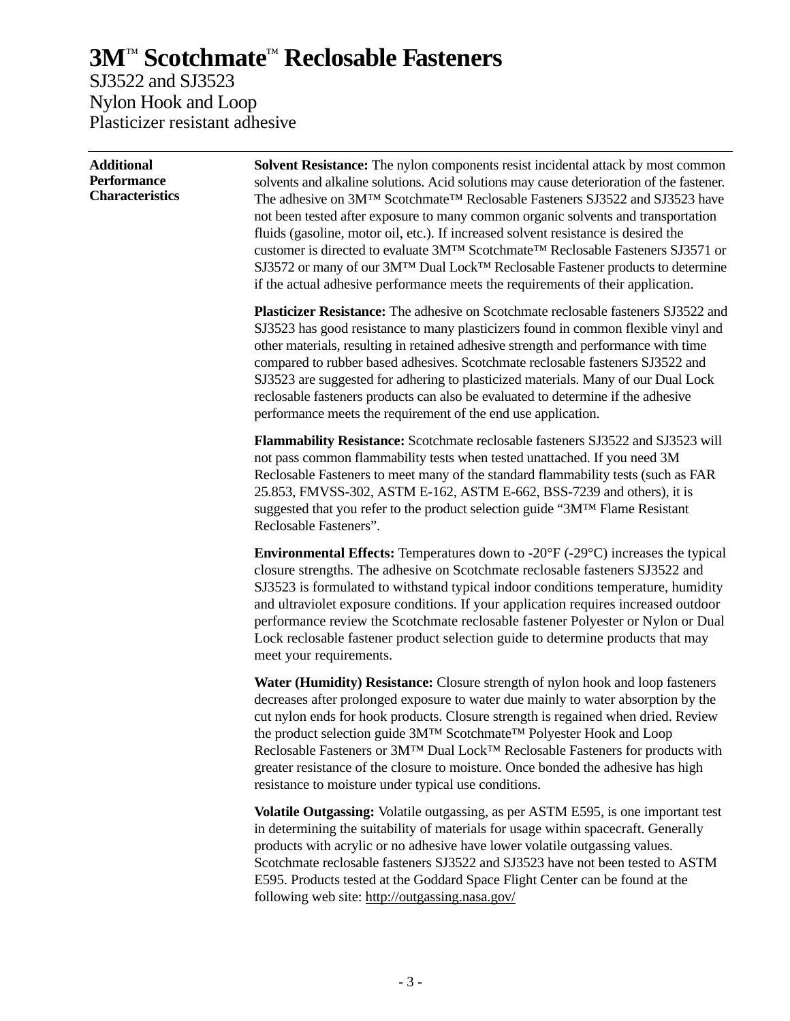SJ3522 and SJ3523 Nylon Hook and Loop Plasticizer resistant adhesive

| <b>Additional</b><br><b>Performance</b><br><b>Characteristics</b> | <b>Solvent Resistance:</b> The nylon components resist incidental attack by most common<br>solvents and alkaline solutions. Acid solutions may cause deterioration of the fastener.<br>The adhesive on 3M™ Scotchmate™ Reclosable Fasteners SJ3522 and SJ3523 have<br>not been tested after exposure to many common organic solvents and transportation<br>fluids (gasoline, motor oil, etc.). If increased solvent resistance is desired the<br>customer is directed to evaluate 3M™ Scotchmate™ Reclosable Fasteners SJ3571 or<br>SJ3572 or many of our 3M™ Dual Lock™ Reclosable Fastener products to determine<br>if the actual adhesive performance meets the requirements of their application. |  |  |
|-------------------------------------------------------------------|-------------------------------------------------------------------------------------------------------------------------------------------------------------------------------------------------------------------------------------------------------------------------------------------------------------------------------------------------------------------------------------------------------------------------------------------------------------------------------------------------------------------------------------------------------------------------------------------------------------------------------------------------------------------------------------------------------|--|--|
|                                                                   | Plasticizer Resistance: The adhesive on Scotchmate reclosable fasteners SJ3522 and<br>SJ3523 has good resistance to many plasticizers found in common flexible vinyl and<br>other materials, resulting in retained adhesive strength and performance with time<br>compared to rubber based adhesives. Scotchmate reclosable fasteners SJ3522 and<br>SJ3523 are suggested for adhering to plasticized materials. Many of our Dual Lock<br>reclosable fasteners products can also be evaluated to determine if the adhesive<br>performance meets the requirement of the end use application.                                                                                                            |  |  |
|                                                                   | Flammability Resistance: Scotchmate reclosable fasteners SJ3522 and SJ3523 will<br>not pass common flammability tests when tested unattached. If you need 3M<br>Reclosable Fasteners to meet many of the standard flammability tests (such as FAR<br>25.853, FMVSS-302, ASTM E-162, ASTM E-662, BSS-7239 and others), it is<br>suggested that you refer to the product selection guide "3MTM Flame Resistant<br>Reclosable Fasteners".                                                                                                                                                                                                                                                                |  |  |
|                                                                   | <b>Environmental Effects:</b> Temperatures down to $-20^{\circ}F(-29^{\circ}C)$ increases the typical<br>closure strengths. The adhesive on Scotchmate reclosable fasteners SJ3522 and<br>SJ3523 is formulated to withstand typical indoor conditions temperature, humidity<br>and ultraviolet exposure conditions. If your application requires increased outdoor<br>performance review the Scotchmate reclosable fastener Polyester or Nylon or Dual<br>Lock reclosable fastener product selection guide to determine products that may<br>meet your requirements.                                                                                                                                  |  |  |
|                                                                   | Water (Humidity) Resistance: Closure strength of nylon hook and loop fasteners<br>decreases after prolonged exposure to water due mainly to water absorption by the<br>cut nylon ends for hook products. Closure strength is regained when dried. Review<br>the product selection guide 3MTM Scotchmate <sup>TM</sup> Polyester Hook and Loop<br>Reclosable Fasteners or 3MTM Dual LockTM Reclosable Fasteners for products with<br>greater resistance of the closure to moisture. Once bonded the adhesive has high<br>resistance to moisture under typical use conditions.                                                                                                                          |  |  |
|                                                                   | Volatile Outgassing: Volatile outgassing, as per ASTM E595, is one important test<br>in determining the suitability of materials for usage within spacecraft. Generally<br>products with acrylic or no adhesive have lower volatile outgassing values.<br>Scotchmate reclosable fasteners SJ3522 and SJ3523 have not been tested to ASTM<br>E595. Products tested at the Goddard Space Flight Center can be found at the                                                                                                                                                                                                                                                                              |  |  |

following web site: http://outgassing.nasa.gov/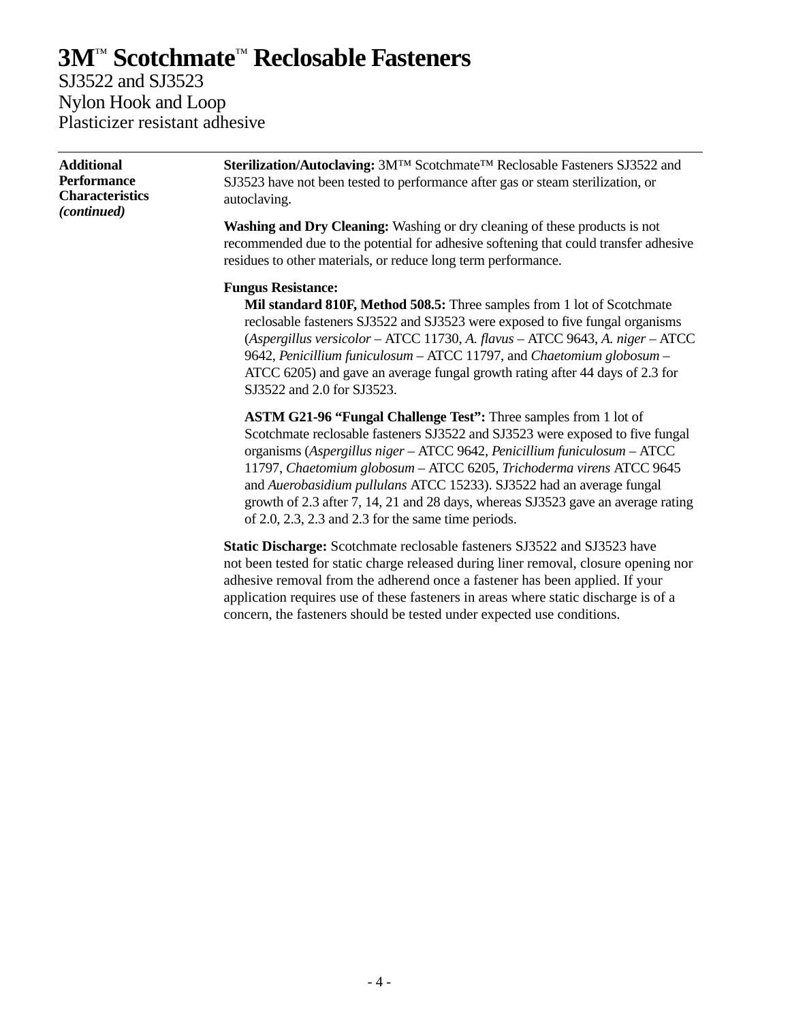SJ3522 and SJ3523 Nylon Hook and Loop Plasticizer resistant adhesive

| <b>Additional</b><br><b>Performance</b><br><b>Characteristics</b><br>(continued) | Sterilization/Autoclaving: 3M™ Scotchmate™ Reclosable Fasteners SJ3522 and<br>SJ3523 have not been tested to performance after gas or steam sterilization, or<br>autoclaving.                                                                                                                                                                                                                                                                                                                                                       |
|----------------------------------------------------------------------------------|-------------------------------------------------------------------------------------------------------------------------------------------------------------------------------------------------------------------------------------------------------------------------------------------------------------------------------------------------------------------------------------------------------------------------------------------------------------------------------------------------------------------------------------|
|                                                                                  | <b>Washing and Dry Cleaning:</b> Washing or dry cleaning of these products is not<br>recommended due to the potential for adhesive softening that could transfer adhesive<br>residues to other materials, or reduce long term performance.                                                                                                                                                                                                                                                                                          |
|                                                                                  | <b>Fungus Resistance:</b><br>Mil standard 810F, Method 508.5: Three samples from 1 lot of Scotchmate<br>reclosable fasteners SJ3522 and SJ3523 were exposed to five fungal organisms<br>(Aspergillus versicolor - ATCC 11730, A. flavus - ATCC 9643, A. niger - ATCC<br>9642, Penicillium funiculosum - ATCC 11797, and Chaetomium globosum -<br>ATCC 6205) and gave an average fungal growth rating after 44 days of 2.3 for<br>SJ3522 and 2.0 for SJ3523.                                                                         |
|                                                                                  | ASTM G21-96 "Fungal Challenge Test": Three samples from 1 lot of<br>Scotchmate reclosable fasteners SJ3522 and SJ3523 were exposed to five fungal<br>organisms (Aspergillus niger - ATCC 9642, Penicillium funiculosum - ATCC<br>11797, Chaetomium globosum - ATCC 6205, Trichoderma virens ATCC 9645<br>and Auerobasidium pullulans ATCC 15233). SJ3522 had an average fungal<br>growth of 2.3 after 7, 14, 21 and 28 days, whereas SJ3523 gave an average rating<br>of $2.0$ , $2.3$ , $2.3$ and $2.3$ for the same time periods. |
|                                                                                  | <b>Static Discharge:</b> Scotchmate reclosable fasteners SJ3522 and SJ3523 have                                                                                                                                                                                                                                                                                                                                                                                                                                                     |

not been tested for static charge released during liner removal, closure opening nor adhesive removal from the adherend once a fastener has been applied. If your application requires use of these fasteners in areas where static discharge is of a concern, the fasteners should be tested under expected use conditions.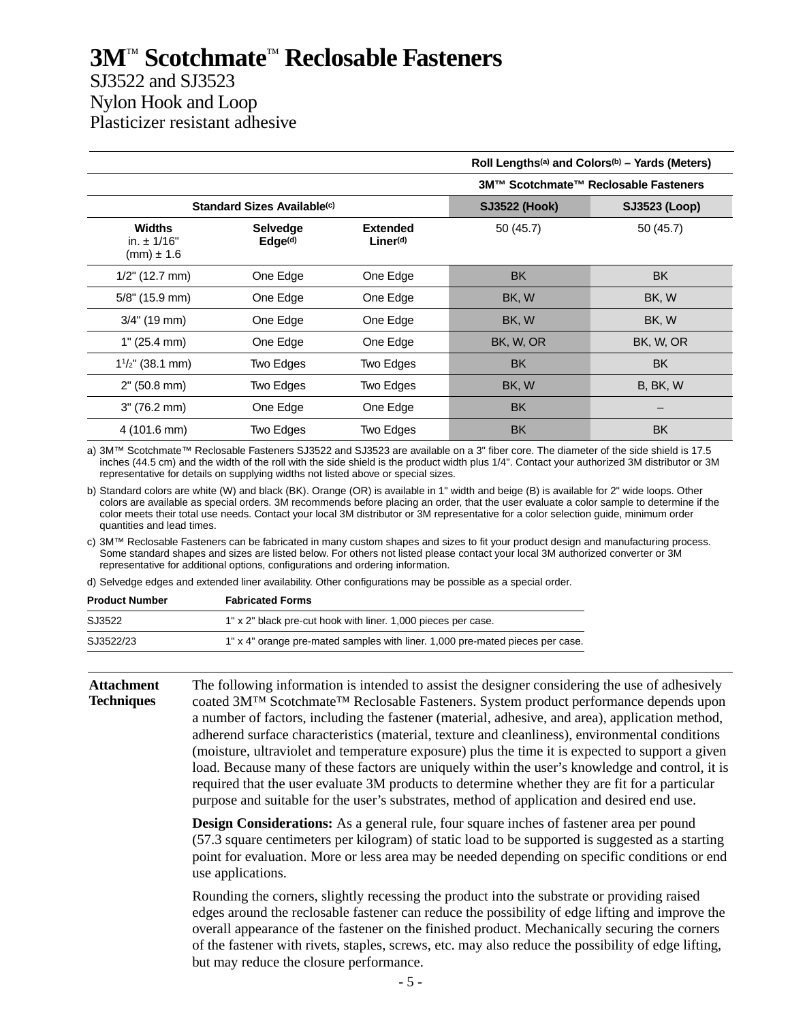### SJ3522 and SJ3523 Nylon Hook and Loop Plasticizer resistant adhesive

|                                                    |                                         |                                          | Roll Lengths <sup>(a)</sup> and Colors <sup>(b)</sup> – Yards (Meters) |                                      |  |
|----------------------------------------------------|-----------------------------------------|------------------------------------------|------------------------------------------------------------------------|--------------------------------------|--|
|                                                    |                                         |                                          |                                                                        | 3M™ Scotchmate™ Reclosable Fasteners |  |
|                                                    | Standard Sizes Available <sup>(c)</sup> |                                          | <b>SJ3522 (Hook)</b>                                                   | <b>SJ3523 (Loop)</b>                 |  |
| <b>Widths</b><br>in. $\pm$ 1/16"<br>$(mm) \pm 1.6$ | <b>Selvedge</b><br>Edge <sup>(d)</sup>  | <b>Extended</b><br>Line <sub>r</sub> (d) | 50 (45.7)                                                              | 50 (45.7)                            |  |
| $1/2$ " (12.7 mm)                                  | One Edge                                | One Edge                                 | <b>BK</b>                                                              | <b>BK</b>                            |  |
| 5/8" (15.9 mm)                                     | One Edge                                | One Edge                                 | BK, W                                                                  | BK, W                                |  |
| $3/4$ " (19 mm)                                    | One Edge                                | One Edge                                 | BK, W                                                                  | BK, W                                |  |
| 1" (25.4 mm)                                       | One Edge                                | One Edge                                 | BK, W, OR                                                              | BK, W, OR                            |  |
| $1^{1/2}$ " (38.1 mm)                              | Two Edges                               | Two Edges                                | <b>BK</b>                                                              | <b>BK</b>                            |  |
| 2" (50.8 mm)                                       | Two Edges                               | Two Edges                                | BK, W                                                                  | B, BK, W                             |  |
| 3" (76.2 mm)                                       | One Edge                                | One Edge                                 | <b>BK</b>                                                              |                                      |  |
| 4 (101.6 mm)                                       | Two Edges                               | Two Edges                                | <b>BK</b>                                                              | <b>BK</b>                            |  |

a) 3M™ Scotchmate™ Reclosable Fasteners SJ3522 and SJ3523 are available on a 3" fiber core. The diameter of the side shield is 17.5 inches (44.5 cm) and the width of the roll with the side shield is the product width plus 1/4". Contact your authorized 3M distributor or 3M representative for details on supplying widths not listed above or special sizes.

b) Standard colors are white (W) and black (BK). Orange (OR) is available in 1" width and beige (B) is available for 2" wide loops. Other colors are available as special orders. 3M recommends before placing an order, that the user evaluate a color sample to determine if the color meets their total use needs. Contact your local 3M distributor or 3M representative for a color selection guide, minimum order quantities and lead times.

c) 3M™ Reclosable Fasteners can be fabricated in many custom shapes and sizes to fit your product design and manufacturing process. Some standard shapes and sizes are listed below. For others not listed please contact your local 3M authorized converter or 3M representative for additional options, configurations and ordering information.

d) Selvedge edges and extended liner availability. Other configurations may be possible as a special order.

| <b>Product Number</b> | <b>Fabricated Forms</b>                                                       |  |
|-----------------------|-------------------------------------------------------------------------------|--|
| SJ3522                | 1" x 2" black pre-cut hook with liner. 1,000 pieces per case.                 |  |
| SJ3522/23             | 1" x 4" orange pre-mated samples with liner. 1,000 pre-mated pieces per case. |  |

#### **Attachment Techniques**

The following information is intended to assist the designer considering the use of adhesively coated 3M™ Scotchmate™ Reclosable Fasteners. System product performance depends upon a number of factors, including the fastener (material, adhesive, and area), application method, adherend surface characteristics (material, texture and cleanliness), environmental conditions (moisture, ultraviolet and temperature exposure) plus the time it is expected to support a given load. Because many of these factors are uniquely within the user's knowledge and control, it is required that the user evaluate 3M products to determine whether they are fit for a particular purpose and suitable for the user's substrates, method of application and desired end use.

**Design Considerations:** As a general rule, four square inches of fastener area per pound (57.3 square centimeters per kilogram) of static load to be supported is suggested as a starting point for evaluation. More or less area may be needed depending on specific conditions or end use applications.

Rounding the corners, slightly recessing the product into the substrate or providing raised edges around the reclosable fastener can reduce the possibility of edge lifting and improve the overall appearance of the fastener on the finished product. Mechanically securing the corners of the fastener with rivets, staples, screws, etc. may also reduce the possibility of edge lifting, but may reduce the closure performance.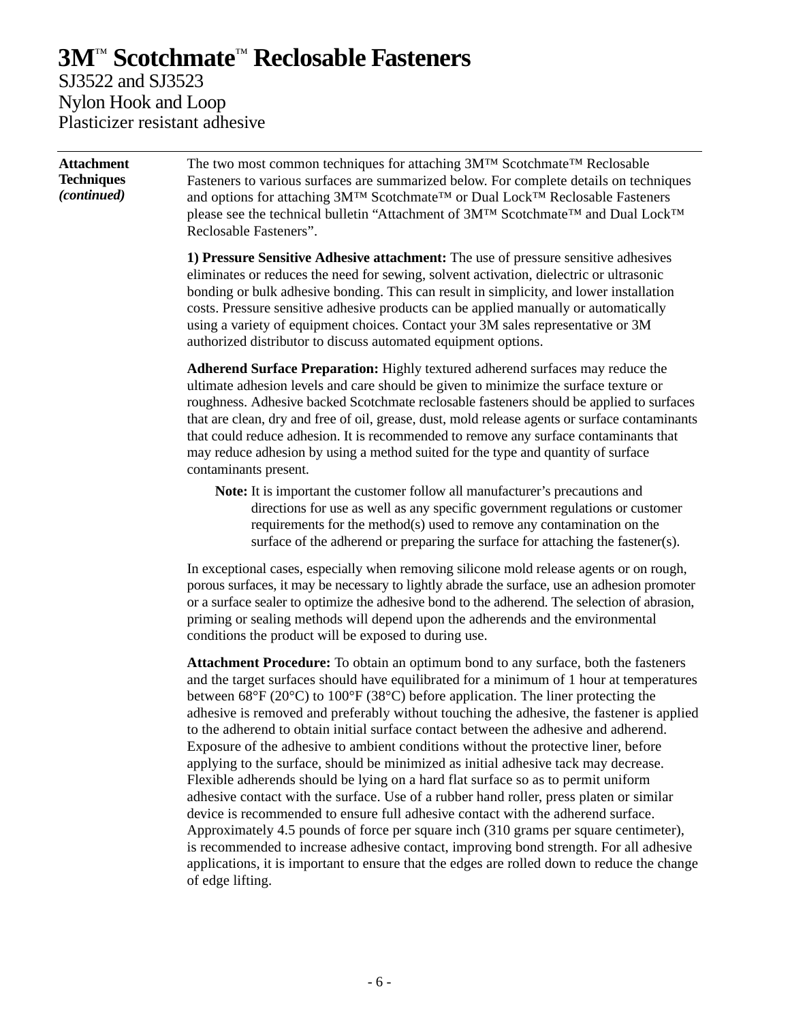### **3M**™ **Scotchmate**™ **Reclosable Fasteners** SJ3522 and SJ3523

Nylon Hook and Loop Plasticizer resistant adhesive

**Attachment Techniques** *(continued)* The two most common techniques for attaching 3M™ Scotchmate™ Reclosable Fasteners to various surfaces are summarized below. For complete details on techniques and options for attaching 3M™ Scotchmate™ or Dual Lock™ Reclosable Fasteners please see the technical bulletin "Attachment of 3M™ Scotchmate™ and Dual Lock™ Reclosable Fasteners". **1) Pressure Sensitive Adhesive attachment:** The use of pressure sensitive adhesives eliminates or reduces the need for sewing, solvent activation, dielectric or ultrasonic bonding or bulk adhesive bonding. This can result in simplicity, and lower installation costs. Pressure sensitive adhesive products can be applied manually or automatically using a variety of equipment choices. Contact your 3M sales representative or 3M authorized distributor to discuss automated equipment options.

**Adherend Surface Preparation:** Highly textured adherend surfaces may reduce the ultimate adhesion levels and care should be given to minimize the surface texture or roughness. Adhesive backed Scotchmate reclosable fasteners should be applied to surfaces that are clean, dry and free of oil, grease, dust, mold release agents or surface contaminants that could reduce adhesion. It is recommended to remove any surface contaminants that may reduce adhesion by using a method suited for the type and quantity of surface contaminants present.

**Note:** It is important the customer follow all manufacturer's precautions and directions for use as well as any specific government regulations or customer requirements for the method(s) used to remove any contamination on the surface of the adherend or preparing the surface for attaching the fastener(s).

In exceptional cases, especially when removing silicone mold release agents or on rough, porous surfaces, it may be necessary to lightly abrade the surface, use an adhesion promoter or a surface sealer to optimize the adhesive bond to the adherend. The selection of abrasion, priming or sealing methods will depend upon the adherends and the environmental conditions the product will be exposed to during use.

**Attachment Procedure:** To obtain an optimum bond to any surface, both the fasteners and the target surfaces should have equilibrated for a minimum of 1 hour at temperatures between 68°F (20°C) to 100°F (38°C) before application. The liner protecting the adhesive is removed and preferably without touching the adhesive, the fastener is applied to the adherend to obtain initial surface contact between the adhesive and adherend. Exposure of the adhesive to ambient conditions without the protective liner, before applying to the surface, should be minimized as initial adhesive tack may decrease. Flexible adherends should be lying on a hard flat surface so as to permit uniform adhesive contact with the surface. Use of a rubber hand roller, press platen or similar device is recommended to ensure full adhesive contact with the adherend surface. Approximately 4.5 pounds of force per square inch (310 grams per square centimeter), is recommended to increase adhesive contact, improving bond strength. For all adhesive applications, it is important to ensure that the edges are rolled down to reduce the change of edge lifting.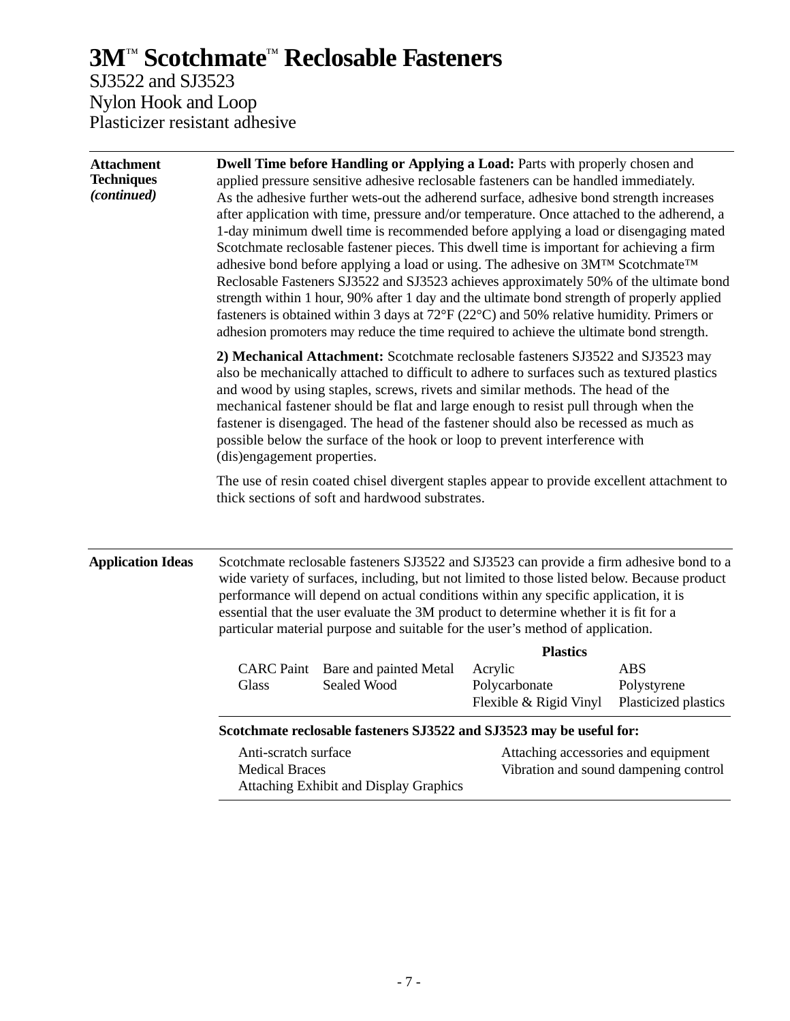SJ3522 and SJ3523 Nylon Hook and Loop Plasticizer resistant adhesive

| <b>Attachment</b><br><b>Techniques</b><br>(continued) | Dwell Time before Handling or Applying a Load: Parts with properly chosen and<br>applied pressure sensitive adhesive reclosable fasteners can be handled immediately.<br>As the adhesive further wets-out the adherend surface, adhesive bond strength increases<br>after application with time, pressure and/or temperature. Once attached to the adherend, a<br>1-day minimum dwell time is recommended before applying a load or disengaging mated<br>Scotchmate reclosable fastener pieces. This dwell time is important for achieving a firm<br>adhesive bond before applying a load or using. The adhesive on 3M™ Scotchmate™<br>Reclosable Fasteners SJ3522 and SJ3523 achieves approximately 50% of the ultimate bond<br>strength within 1 hour, 90% after 1 day and the ultimate bond strength of properly applied<br>fasteners is obtained within 3 days at $72^{\circ}F(22^{\circ}C)$ and 50% relative humidity. Primers or<br>adhesion promoters may reduce the time required to achieve the ultimate bond strength.<br>2) Mechanical Attachment: Scotchmate reclosable fasteners SJ3522 and SJ3523 may<br>also be mechanically attached to difficult to adhere to surfaces such as textured plastics<br>and wood by using staples, screws, rivets and similar methods. The head of the<br>mechanical fastener should be flat and large enough to resist pull through when the<br>fastener is disengaged. The head of the fastener should also be recessed as much as<br>possible below the surface of the hook or loop to prevent interference with<br>(dis)engagement properties. |                                                                                                                                                                                                                                                                                                                                                                                                                                                         |                                         |                                       |
|-------------------------------------------------------|-------------------------------------------------------------------------------------------------------------------------------------------------------------------------------------------------------------------------------------------------------------------------------------------------------------------------------------------------------------------------------------------------------------------------------------------------------------------------------------------------------------------------------------------------------------------------------------------------------------------------------------------------------------------------------------------------------------------------------------------------------------------------------------------------------------------------------------------------------------------------------------------------------------------------------------------------------------------------------------------------------------------------------------------------------------------------------------------------------------------------------------------------------------------------------------------------------------------------------------------------------------------------------------------------------------------------------------------------------------------------------------------------------------------------------------------------------------------------------------------------------------------------------------------------------------------------------------------------|---------------------------------------------------------------------------------------------------------------------------------------------------------------------------------------------------------------------------------------------------------------------------------------------------------------------------------------------------------------------------------------------------------------------------------------------------------|-----------------------------------------|---------------------------------------|
|                                                       |                                                                                                                                                                                                                                                                                                                                                                                                                                                                                                                                                                                                                                                                                                                                                                                                                                                                                                                                                                                                                                                                                                                                                                                                                                                                                                                                                                                                                                                                                                                                                                                                 |                                                                                                                                                                                                                                                                                                                                                                                                                                                         |                                         |                                       |
|                                                       |                                                                                                                                                                                                                                                                                                                                                                                                                                                                                                                                                                                                                                                                                                                                                                                                                                                                                                                                                                                                                                                                                                                                                                                                                                                                                                                                                                                                                                                                                                                                                                                                 | The use of resin coated chisel divergent staples appear to provide excellent attachment to<br>thick sections of soft and hardwood substrates.                                                                                                                                                                                                                                                                                                           |                                         |                                       |
| <b>Application Ideas</b>                              |                                                                                                                                                                                                                                                                                                                                                                                                                                                                                                                                                                                                                                                                                                                                                                                                                                                                                                                                                                                                                                                                                                                                                                                                                                                                                                                                                                                                                                                                                                                                                                                                 | Scotchmate reclosable fasteners SJ3522 and SJ3523 can provide a firm adhesive bond to a<br>wide variety of surfaces, including, but not limited to those listed below. Because product<br>performance will depend on actual conditions within any specific application, it is<br>essential that the user evaluate the 3M product to determine whether it is fit for a<br>particular material purpose and suitable for the user's method of application. |                                         |                                       |
|                                                       |                                                                                                                                                                                                                                                                                                                                                                                                                                                                                                                                                                                                                                                                                                                                                                                                                                                                                                                                                                                                                                                                                                                                                                                                                                                                                                                                                                                                                                                                                                                                                                                                 |                                                                                                                                                                                                                                                                                                                                                                                                                                                         | <b>Plastics</b>                         |                                       |
|                                                       |                                                                                                                                                                                                                                                                                                                                                                                                                                                                                                                                                                                                                                                                                                                                                                                                                                                                                                                                                                                                                                                                                                                                                                                                                                                                                                                                                                                                                                                                                                                                                                                                 | CARC Paint Bare and painted Metal                                                                                                                                                                                                                                                                                                                                                                                                                       | Acrylic                                 | <b>ABS</b>                            |
|                                                       | Glass                                                                                                                                                                                                                                                                                                                                                                                                                                                                                                                                                                                                                                                                                                                                                                                                                                                                                                                                                                                                                                                                                                                                                                                                                                                                                                                                                                                                                                                                                                                                                                                           | Sealed Wood                                                                                                                                                                                                                                                                                                                                                                                                                                             | Polycarbonate<br>Flexible & Rigid Vinyl | Polystyrene<br>Plasticized plastics   |
|                                                       | Scotchmate reclosable fasteners SJ3522 and SJ3523 may be useful for:                                                                                                                                                                                                                                                                                                                                                                                                                                                                                                                                                                                                                                                                                                                                                                                                                                                                                                                                                                                                                                                                                                                                                                                                                                                                                                                                                                                                                                                                                                                            |                                                                                                                                                                                                                                                                                                                                                                                                                                                         |                                         |                                       |
|                                                       | Anti-scratch surface                                                                                                                                                                                                                                                                                                                                                                                                                                                                                                                                                                                                                                                                                                                                                                                                                                                                                                                                                                                                                                                                                                                                                                                                                                                                                                                                                                                                                                                                                                                                                                            |                                                                                                                                                                                                                                                                                                                                                                                                                                                         | Attaching accessories and equipment     |                                       |
|                                                       | <b>Medical Braces</b><br><b>Attaching Exhibit and Display Graphics</b>                                                                                                                                                                                                                                                                                                                                                                                                                                                                                                                                                                                                                                                                                                                                                                                                                                                                                                                                                                                                                                                                                                                                                                                                                                                                                                                                                                                                                                                                                                                          |                                                                                                                                                                                                                                                                                                                                                                                                                                                         |                                         | Vibration and sound dampening control |
|                                                       |                                                                                                                                                                                                                                                                                                                                                                                                                                                                                                                                                                                                                                                                                                                                                                                                                                                                                                                                                                                                                                                                                                                                                                                                                                                                                                                                                                                                                                                                                                                                                                                                 |                                                                                                                                                                                                                                                                                                                                                                                                                                                         |                                         |                                       |